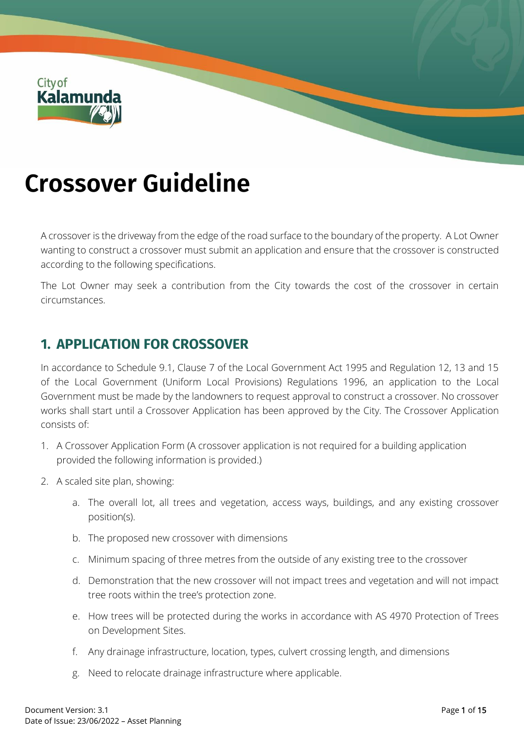

# **Crossover Guideline**

A crossover is the driveway from the edge of the road surface to the boundary of the property. A Lot Owner wanting to construct a crossover must submit an application and ensure that the crossover is constructed according to the following specifications.

The Lot Owner may seek a contribution from the City towards the cost of the crossover in certain circumstances.

## **1. APPLICATION FOR CROSSOVER**

In accordance to Schedule 9.1, Clause 7 of the Local Government Act 1995 and Regulation 12, 13 and 15 of the Local Government (Uniform Local Provisions) Regulations 1996, an application to the Local Government must be made by the landowners to request approval to construct a crossover. No crossover works shall start until a Crossover Application has been approved by the City. The Crossover Application consists of:

- 1. A Crossover Application Form (A crossover application is not required for a building application provided the following information is provided.)
- 2. A scaled site plan, showing:
	- a. The overall lot, all trees and vegetation, access ways, buildings, and any existing crossover position(s).
	- b. The proposed new crossover with dimensions
	- c. Minimum spacing of three metres from the outside of any existing tree to the crossover
	- d. Demonstration that the new crossover will not impact trees and vegetation and will not impact tree roots within the tree's protection zone.
	- e. How trees will be protected during the works in accordance with AS 4970 Protection of Trees on Development Sites.
	- f. Any drainage infrastructure, location, types, culvert crossing length, and dimensions
	- g. Need to relocate drainage infrastructure where applicable.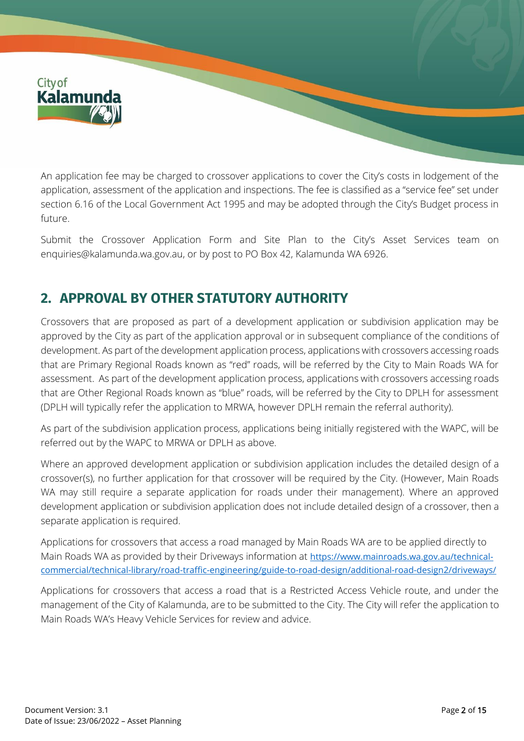

An application fee may be charged to crossover applications to cover the City's costs in lodgement of the application, assessment of the application and inspections. The fee is classified as a "service fee" set under section 6.16 of the Local Government Act 1995 and may be adopted through the City's Budget process in future.

Submit the Crossover Application Form and Site Plan to the City's Asset Services team on [enquiries@kalamunda.wa.gov.au,](mailto:enquiries@kalamunda.wa.gov.au) or by post to PO Box 42, Kalamunda WA 6926.

# **2. APPROVAL BY OTHER STATUTORY AUTHORITY**

Crossovers that are proposed as part of a development application or subdivision application may be approved by the City as part of the application approval or in subsequent compliance of the conditions of development. As part of the development application process, applications with crossovers accessing roads that are Primary Regional Roads known as "red" roads, will be referred by the City to Main Roads WA for assessment. As part of the development application process, applications with crossovers accessing roads that are Other Regional Roads known as "blue" roads, will be referred by the City to DPLH for assessment (DPLH will typically refer the application to MRWA, however DPLH remain the referral authority).

As part of the subdivision application process, applications being initially registered with the WAPC, will be referred out by the WAPC to MRWA or DPLH as above.

Where an approved development application or subdivision application includes the detailed design of a crossover(s), no further application for that crossover will be required by the City. (However, Main Roads WA may still require a separate application for roads under their management). Where an approved development application or subdivision application does not include detailed design of a crossover, then a separate application is required.

Applications for crossovers that access a road managed by Main Roads WA are to be applied directly to Main Roads WA as provided by their Driveways information at [https://www.mainroads.wa.gov.au/technical](https://www.mainroads.wa.gov.au/technical-commercial/technical-library/road-traffic-engineering/guide-to-road-design/additional-road-design2/driveways/)[commercial/technical-library/road-traffic-engineering/guide-to-road-design/additional-road-design2/driveways/](https://www.mainroads.wa.gov.au/technical-commercial/technical-library/road-traffic-engineering/guide-to-road-design/additional-road-design2/driveways/)

Applications for crossovers that access a road that is a Restricted Access Vehicle route, and under the management of the City of Kalamunda, are to be submitted to the City. The City will refer the application to Main Roads WA's Heavy Vehicle Services for review and advice.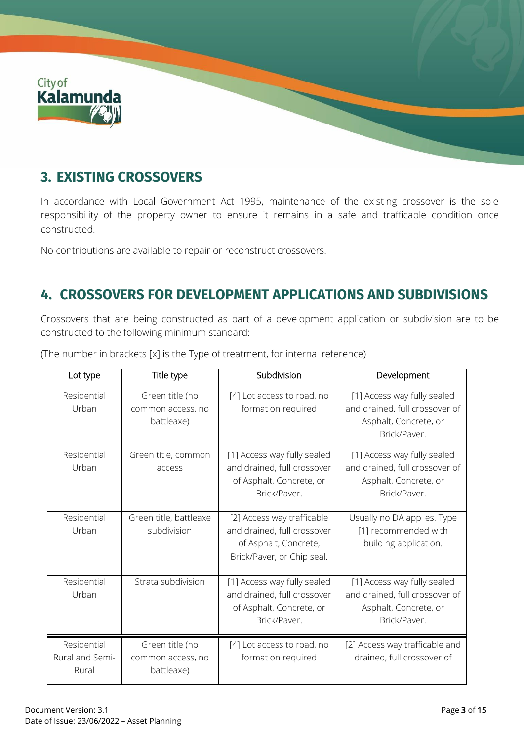

# **3. EXISTING CROSSOVERS**

In accordance with Local Government Act 1995, maintenance of the existing crossover is the sole responsibility of the property owner to ensure it remains in a safe and trafficable condition once constructed.

No contributions are available to repair or reconstruct crossovers.

# **4. CROSSOVERS FOR DEVELOPMENT APPLICATIONS AND SUBDIVISIONS**

Crossovers that are being constructed as part of a development application or subdivision are to be constructed to the following minimum standard:

| Lot type                                | Title type                                         | Subdivision                                                                                                      | Development                                                                                            |
|-----------------------------------------|----------------------------------------------------|------------------------------------------------------------------------------------------------------------------|--------------------------------------------------------------------------------------------------------|
| Residential<br>Urban                    | Green title (no<br>common access, no<br>battleaxe) | [4] Lot access to road, no<br>formation required                                                                 | [1] Access way fully sealed<br>and drained, full crossover of<br>Asphalt, Concrete, or<br>Brick/Paver. |
| Residential<br>Urban                    | Green title, common<br>access                      | [1] Access way fully sealed<br>and drained, full crossover<br>of Asphalt, Concrete, or<br>Brick/Paver.           | [1] Access way fully sealed<br>and drained, full crossover of<br>Asphalt, Concrete, or<br>Brick/Paver. |
| Residential<br>Urban                    | Green title, battleaxe<br>subdivision              | [2] Access way trafficable<br>and drained, full crossover<br>of Asphalt, Concrete,<br>Brick/Paver, or Chip seal. | Usually no DA applies. Type<br>[1] recommended with<br>building application.                           |
| Residential<br>Urban                    | Strata subdivision                                 | [1] Access way fully sealed<br>and drained, full crossover<br>of Asphalt, Concrete, or<br>Brick/Paver.           | [1] Access way fully sealed<br>and drained, full crossover of<br>Asphalt, Concrete, or<br>Brick/Paver. |
| Residential<br>Rural and Semi-<br>Rural | Green title (no<br>common access, no<br>battleaxe) | [4] Lot access to road, no<br>formation required                                                                 | [2] Access way trafficable and<br>drained, full crossover of                                           |

(The number in brackets [x] is the Type of treatment, for internal reference)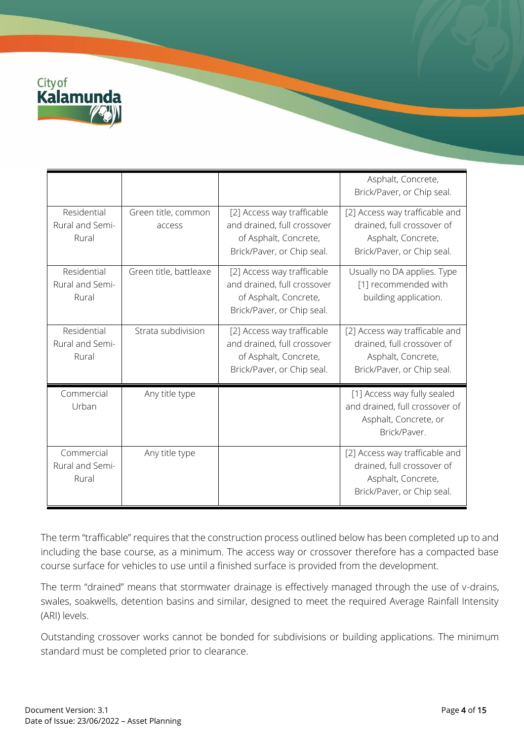

|                                         |                               |                                                                                                                  | Asphalt, Concrete,<br>Brick/Paver, or Chip seal.                                                                 |
|-----------------------------------------|-------------------------------|------------------------------------------------------------------------------------------------------------------|------------------------------------------------------------------------------------------------------------------|
| Residential<br>Rural and Semi-<br>Rural | Green title, common<br>access | [2] Access way trafficable<br>and drained, full crossover<br>of Asphalt, Concrete,<br>Brick/Paver, or Chip seal. | [2] Access way trafficable and<br>drained, full crossover of<br>Asphalt, Concrete,<br>Brick/Paver, or Chip seal. |
| Residential<br>Rural and Semi-<br>Rural | Green title, battleaxe        | [2] Access way trafficable<br>and drained, full crossover<br>of Asphalt, Concrete,<br>Brick/Paver, or Chip seal. | Usually no DA applies. Type<br>[1] recommended with<br>building application.                                     |
| Residential<br>Rural and Semi-<br>Rural | Strata subdivision            | [2] Access way trafficable<br>and drained, full crossover<br>of Asphalt, Concrete,<br>Brick/Paver, or Chip seal. | [2] Access way trafficable and<br>drained, full crossover of<br>Asphalt, Concrete,<br>Brick/Paver, or Chip seal. |
| Commercial<br>Urban                     | Any title type                |                                                                                                                  | [1] Access way fully sealed<br>and drained, full crossover of<br>Asphalt, Concrete, or<br>Brick/Paver.           |
| Commercial<br>Rural and Semi-<br>Rural  | Any title type                |                                                                                                                  | [2] Access way trafficable and<br>drained, full crossover of<br>Asphalt, Concrete,<br>Brick/Paver, or Chip seal. |

The term "trafficable" requires that the construction process outlined below has been completed up to and including the base course, as a minimum. The access way or crossover therefore has a compacted base course surface for vehicles to use until a finished surface is provided from the development.

The term "drained" means that stormwater drainage is effectively managed through the use of v-drains, swales, soakwells, detention basins and similar, designed to meet the required Average Rainfall Intensity (ARI) levels.

Outstanding crossover works cannot be bonded for subdivisions or building applications. The minimum standard must be completed prior to clearance.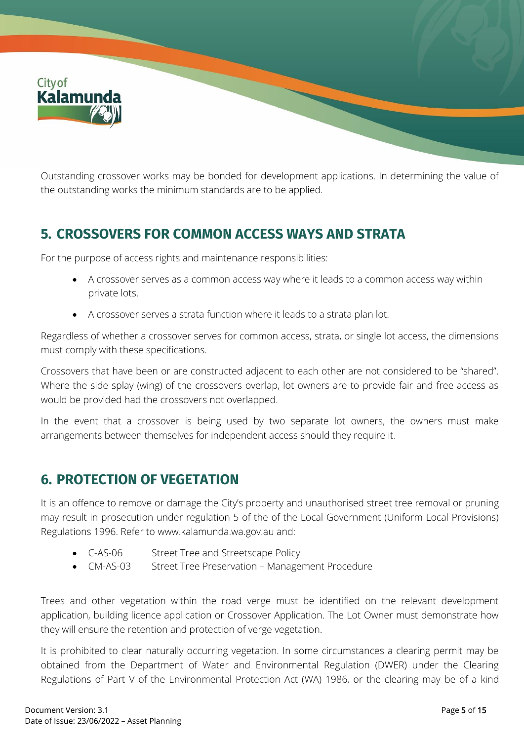

Outstanding crossover works may be bonded for development applications. In determining the value of the outstanding works the minimum standards are to be applied.

# **5. CROSSOVERS FOR COMMON ACCESS WAYS AND STRATA**

For the purpose of access rights and maintenance responsibilities:

- A crossover serves as a common access way where it leads to a common access way within private lots.
- A crossover serves a strata function where it leads to a strata plan lot.

Regardless of whether a crossover serves for common access, strata, or single lot access, the dimensions must comply with these specifications.

Crossovers that have been or are constructed adjacent to each other are not considered to be "shared". Where the side splay (wing) of the crossovers overlap, lot owners are to provide fair and free access as would be provided had the crossovers not overlapped.

In the event that a crossover is being used by two separate lot owners, the owners must make arrangements between themselves for independent access should they require it.

## **6. PROTECTION OF VEGETATION**

It is an offence to remove or damage the City's property and unauthorised street tree removal or pruning may result in prosecution under regulation 5 of the of the Local Government (Uniform Local Provisions) Regulations 1996. Refer to [www.kalamunda.wa.gov.au](http://www.kalamunda.wa.gov.au/) and:

- C-AS-06 Street Tree and Streetscape Policy
- CM-AS-03 Street Tree Preservation Management Procedure

Trees and other vegetation within the road verge must be identified on the relevant development application, building licence application or Crossover Application. The Lot Owner must demonstrate how they will ensure the retention and protection of verge vegetation.

It is prohibited to clear naturally occurring vegetation. In some circumstances a clearing permit may be obtained from the Department of Water and Environmental Regulation (DWER) under the Clearing Regulations of Part V of the Environmental Protection Act (WA) 1986, or the clearing may be of a kind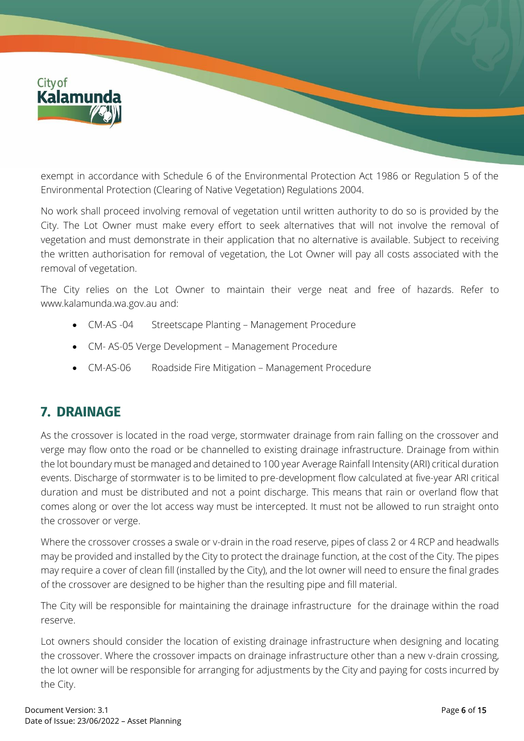

exempt in accordance with Schedule 6 of the Environmental Protection Act 1986 or Regulation 5 of the Environmental Protection (Clearing of Native Vegetation) Regulations 2004.

No work shall proceed involving removal of vegetation until written authority to do so is provided by the City. The Lot Owner must make every effort to seek alternatives that will not involve the removal of vegetation and must demonstrate in their application that no alternative is available. Subject to receiving the written authorisation for removal of vegetation, the Lot Owner will pay all costs associated with the removal of vegetation.

The City relies on the Lot Owner to maintain their verge neat and free of hazards. Refer to [www.kalamunda.wa.gov.au](http://www.kalamunda.wa.gov.au/) and:

- CM-AS -04 Streetscape Planting Management Procedure
- CM- AS-05 Verge Development Management Procedure
- CM-AS-06 Roadside Fire Mitigation Management Procedure

## **7. DRAINAGE**

As the crossover is located in the road verge, stormwater drainage from rain falling on the crossover and verge may flow onto the road or be channelled to existing drainage infrastructure. Drainage from within the lot boundary must be managed and detained to 100 year Average Rainfall Intensity (ARI) critical duration events. Discharge of stormwater is to be limited to pre-development flow calculated at five-year ARI critical duration and must be distributed and not a point discharge. This means that rain or overland flow that comes along or over the lot access way must be intercepted. It must not be allowed to run straight onto the crossover or verge.

Where the crossover crosses a swale or v-drain in the road reserve, pipes of class 2 or 4 RCP and headwalls may be provided and installed by the City to protect the drainage function, at the cost of the City. The pipes may require a cover of clean fill (installed by the City), and the lot owner will need to ensure the final grades of the crossover are designed to be higher than the resulting pipe and fill material.

The City will be responsible for maintaining the drainage infrastructure for the drainage within the road reserve.

Lot owners should consider the location of existing drainage infrastructure when designing and locating the crossover. Where the crossover impacts on drainage infrastructure other than a new v-drain crossing, the lot owner will be responsible for arranging for adjustments by the City and paying for costs incurred by the City.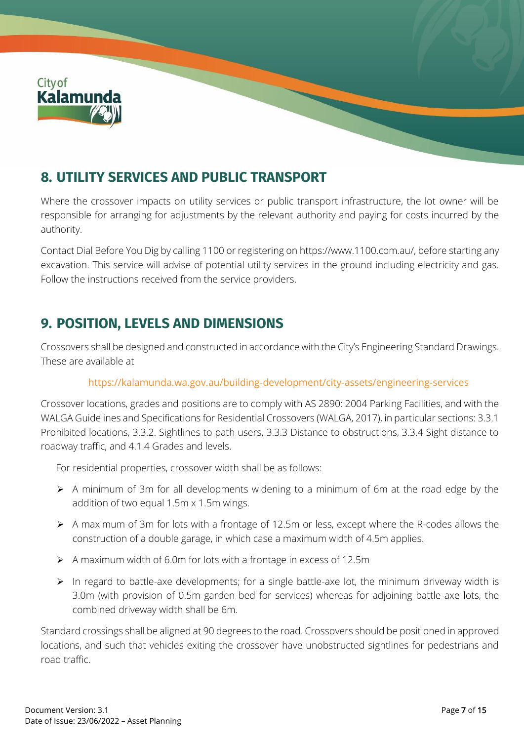

# **8. UTILITY SERVICES AND PUBLIC TRANSPORT**

Where the crossover impacts on utility services or public transport infrastructure, the lot owner will be responsible for arranging for adjustments by the relevant authority and paying for costs incurred by the authority.

Contact Dial Before You Dig by calling 1100 or registering o[n https://www.1100.com.au/,](https://www.1100.com.au/) before starting any excavation. This service will advise of potential utility services in the ground including electricity and gas. Follow the instructions received from the service providers.

## **9. POSITION, LEVELS AND DIMENSIONS**

Crossovers shall be designed and constructed in accordance with the City's Engineering Standard Drawings. These are available at

#### <https://kalamunda.wa.gov.au/building-development/city-assets/engineering-services>

Crossover locations, grades and positions are to comply with AS 2890: 2004 Parking Facilities, and with the WALGA Guidelines and Specifications for Residential Crossovers (WALGA, 2017), in particular sections: 3.3.1 Prohibited locations, 3.3.2. Sightlines to path users, 3.3.3 Distance to obstructions, 3.3.4 Sight distance to roadway traffic, and 4.1.4 Grades and levels.

For residential properties, crossover width shall be as follows:

- ➢ A minimum of 3m for all developments widening to a minimum of 6m at the road edge by the addition of two equal 1.5m x 1.5m wings.
- ➢ A maximum of 3m for lots with a frontage of 12.5m or less, except where the R-codes allows the construction of a double garage, in which case a maximum width of 4.5m applies.
- ➢ A maximum width of 6.0m for lots with a frontage in excess of 12.5m
- ➢ In regard to battle-axe developments; for a single battle-axe lot, the minimum driveway width is 3.0m (with provision of 0.5m garden bed for services) whereas for adjoining battle-axe lots, the combined driveway width shall be 6m.

Standard crossings shall be aligned at 90 degrees to the road. Crossovers should be positioned in approved locations, and such that vehicles exiting the crossover have unobstructed sightlines for pedestrians and road traffic.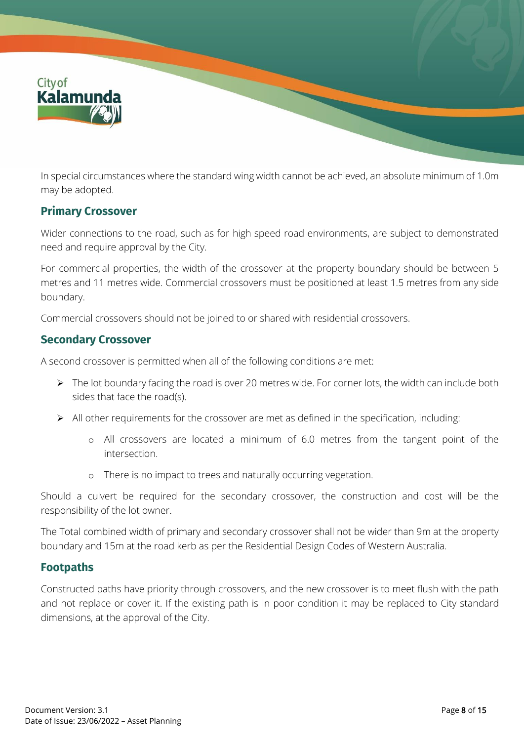

In special circumstances where the standard wing width cannot be achieved, an absolute minimum of 1.0m may be adopted.

#### **Primary Crossover**

Wider connections to the road, such as for high speed road environments, are subject to demonstrated need and require approval by the City.

For commercial properties, the width of the crossover at the property boundary should be between 5 metres and 11 metres wide. Commercial crossovers must be positioned at least 1.5 metres from any side boundary.

Commercial crossovers should not be joined to or shared with residential crossovers.

#### **Secondary Crossover**

A second crossover is permitted when all of the following conditions are met:

- ➢ The lot boundary facing the road is over 20 metres wide. For corner lots, the width can include both sides that face the road(s).
- ➢ All other requirements for the crossover are met as defined in the specification, including:
	- o All crossovers are located a minimum of 6.0 metres from the tangent point of the intersection.
	- o There is no impact to trees and naturally occurring vegetation.

Should a culvert be required for the secondary crossover, the construction and cost will be the responsibility of the lot owner.

The Total combined width of primary and secondary crossover shall not be wider than 9m at the property boundary and 15m at the road kerb as per the Residential Design Codes of Western Australia.

#### **Footpaths**

Constructed paths have priority through crossovers, and the new crossover is to meet flush with the path and not replace or cover it. If the existing path is in poor condition it may be replaced to City standard dimensions, at the approval of the City.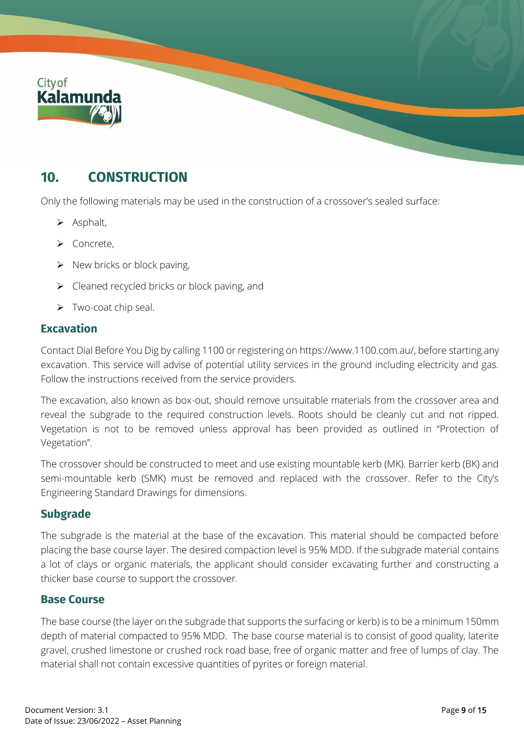

## **10. CONSTRUCTION**

Only the following materials may be used in the construction of a crossover's sealed surface:

- ➢ Asphalt,
- ➢ Concrete,
- $\triangleright$  New bricks or block paving,
- $\triangleright$  Cleaned recycled bricks or block paving, and
- ➢ Two-coat chip seal.

#### **Excavation**

Contact Dial Before You Dig by calling 1100 or registering o[n https://www.1100.com.au/,](https://www.1100.com.au/) before starting any excavation. This service will advise of potential utility services in the ground including electricity and gas. Follow the instructions received from the service providers.

The excavation, also known as box-out, should remove unsuitable materials from the crossover area and reveal the subgrade to the required construction levels. Roots should be cleanly cut and not ripped. Vegetation is not to be removed unless approval has been provided as outlined in "Protection of Vegetation".

The crossover should be constructed to meet and use existing mountable kerb (MK). Barrier kerb (BK) and semi-mountable kerb (SMK) must be removed and replaced with the crossover. Refer to the City's Engineering Standard Drawings for dimensions.

#### **Subgrade**

The subgrade is the material at the base of the excavation. This material should be compacted before placing the base course layer. The desired compaction level is 95% MDD. If the subgrade material contains a lot of clays or organic materials, the applicant should consider excavating further and constructing a thicker base course to support the crossover.

#### **Base Course**

The base course (the layer on the subgrade that supports the surfacing or kerb) is to be a minimum 150mm depth of material compacted to 95% MDD. The base course material is to consist of good quality, laterite gravel, crushed limestone or crushed rock road base, free of organic matter and free of lumps of clay. The material shall not contain excessive quantities of pyrites or foreign material.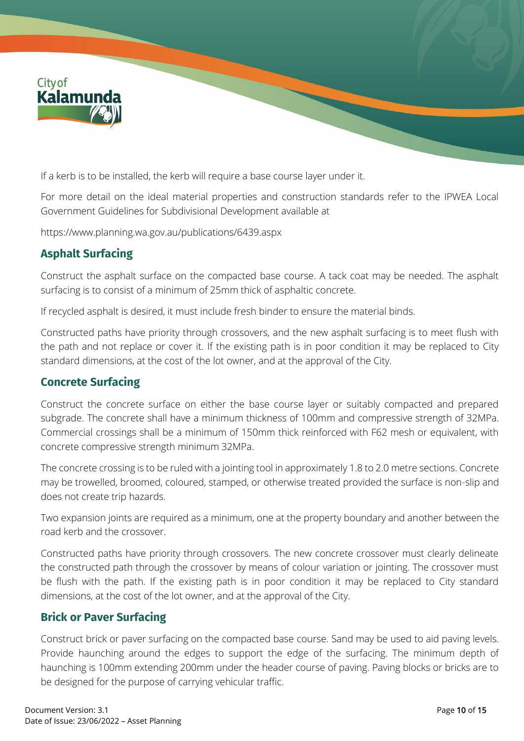

If a kerb is to be installed, the kerb will require a base course layer under it.

For more detail on the ideal material properties and construction standards refer to the IPWEA Local Government Guidelines for Subdivisional Development available at

<https://www.planning.wa.gov.au/publications/6439.aspx>

### **Asphalt Surfacing**

Construct the asphalt surface on the compacted base course. A tack coat may be needed. The asphalt surfacing is to consist of a minimum of 25mm thick of asphaltic concrete.

If recycled asphalt is desired, it must include fresh binder to ensure the material binds.

Constructed paths have priority through crossovers, and the new asphalt surfacing is to meet flush with the path and not replace or cover it. If the existing path is in poor condition it may be replaced to City standard dimensions, at the cost of the lot owner, and at the approval of the City.

#### **Concrete Surfacing**

Construct the concrete surface on either the base course layer or suitably compacted and prepared subgrade. The concrete shall have a minimum thickness of 100mm and compressive strength of 32MPa. Commercial crossings shall be a minimum of 150mm thick reinforced with F62 mesh or equivalent, with concrete compressive strength minimum 32MPa.

The concrete crossing is to be ruled with a jointing tool in approximately 1.8 to 2.0 metre sections. Concrete may be trowelled, broomed, coloured, stamped, or otherwise treated provided the surface is non-slip and does not create trip hazards.

Two expansion joints are required as a minimum, one at the property boundary and another between the road kerb and the crossover.

Constructed paths have priority through crossovers. The new concrete crossover must clearly delineate the constructed path through the crossover by means of colour variation or jointing. The crossover must be flush with the path. If the existing path is in poor condition it may be replaced to City standard dimensions, at the cost of the lot owner, and at the approval of the City.

#### **Brick or Paver Surfacing**

Construct brick or paver surfacing on the compacted base course. Sand may be used to aid paving levels. Provide haunching around the edges to support the edge of the surfacing. The minimum depth of haunching is 100mm extending 200mm under the header course of paving. Paving blocks or bricks are to be designed for the purpose of carrying vehicular traffic.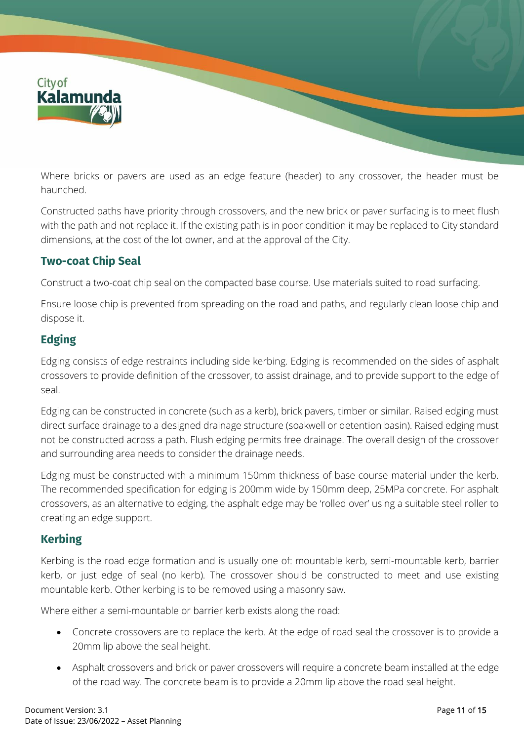

Where bricks or pavers are used as an edge feature (header) to any crossover, the header must be haunched.

Constructed paths have priority through crossovers, and the new brick or paver surfacing is to meet flush with the path and not replace it. If the existing path is in poor condition it may be replaced to City standard dimensions, at the cost of the lot owner, and at the approval of the City.

### **Two-coat Chip Seal**

Construct a two-coat chip seal on the compacted base course. Use materials suited to road surfacing.

Ensure loose chip is prevented from spreading on the road and paths, and regularly clean loose chip and dispose it.

## **Edging**

Edging consists of edge restraints including side kerbing. Edging is recommended on the sides of asphalt crossovers to provide definition of the crossover, to assist drainage, and to provide support to the edge of seal.

Edging can be constructed in concrete (such as a kerb), brick pavers, timber or similar. Raised edging must direct surface drainage to a designed drainage structure (soakwell or detention basin). Raised edging must not be constructed across a path. Flush edging permits free drainage. The overall design of the crossover and surrounding area needs to consider the drainage needs.

Edging must be constructed with a minimum 150mm thickness of base course material under the kerb. The recommended specification for edging is 200mm wide by 150mm deep, 25MPa concrete. For asphalt crossovers, as an alternative to edging, the asphalt edge may be 'rolled over' using a suitable steel roller to creating an edge support.

### **Kerbing**

Kerbing is the road edge formation and is usually one of: mountable kerb, semi-mountable kerb, barrier kerb, or just edge of seal (no kerb). The crossover should be constructed to meet and use existing mountable kerb. Other kerbing is to be removed using a masonry saw.

Where either a semi-mountable or barrier kerb exists along the road:

- Concrete crossovers are to replace the kerb. At the edge of road seal the crossover is to provide a 20mm lip above the seal height.
- Asphalt crossovers and brick or paver crossovers will require a concrete beam installed at the edge of the road way. The concrete beam is to provide a 20mm lip above the road seal height.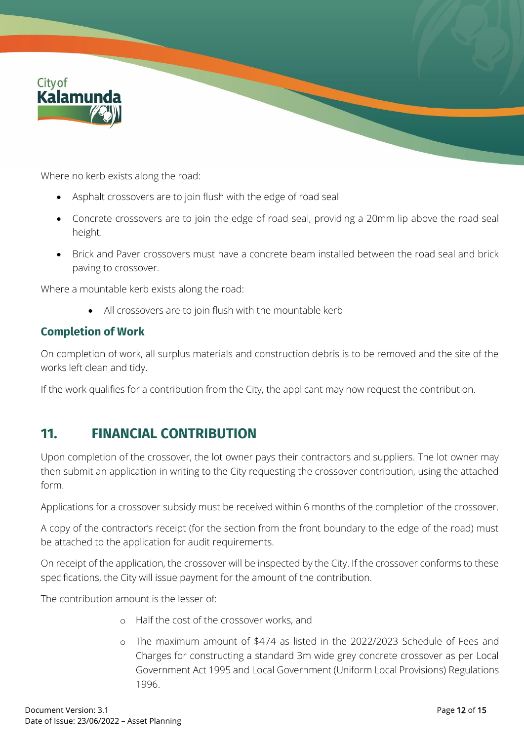

Where no kerb exists along the road:

- Asphalt crossovers are to join flush with the edge of road seal
- Concrete crossovers are to join the edge of road seal, providing a 20mm lip above the road seal height.
- Brick and Paver crossovers must have a concrete beam installed between the road seal and brick paving to crossover.

Where a mountable kerb exists along the road:

• All crossovers are to join flush with the mountable kerb

#### **Completion of Work**

On completion of work, all surplus materials and construction debris is to be removed and the site of the works left clean and tidy.

If the work qualifies for a contribution from the City, the applicant may now request the contribution.

## **11. FINANCIAL CONTRIBUTION**

Upon completion of the crossover, the lot owner pays their contractors and suppliers. The lot owner may then submit an application in writing to the City requesting the crossover contribution, using the attached form.

Applications for a crossover subsidy must be received within 6 months of the completion of the crossover.

A copy of the contractor's receipt (for the section from the front boundary to the edge of the road) must be attached to the application for audit requirements.

On receipt of the application, the crossover will be inspected by the City. If the crossover conforms to these specifications, the City will issue payment for the amount of the contribution.

The contribution amount is the lesser of:

- o Half the cost of the crossover works, and
- o The maximum amount of \$474 as listed in the 2022/2023 Schedule of Fees and Charges for constructing a standard 3m wide grey concrete crossover as per Local Government Act 1995 and Local Government (Uniform Local Provisions) Regulations 1996.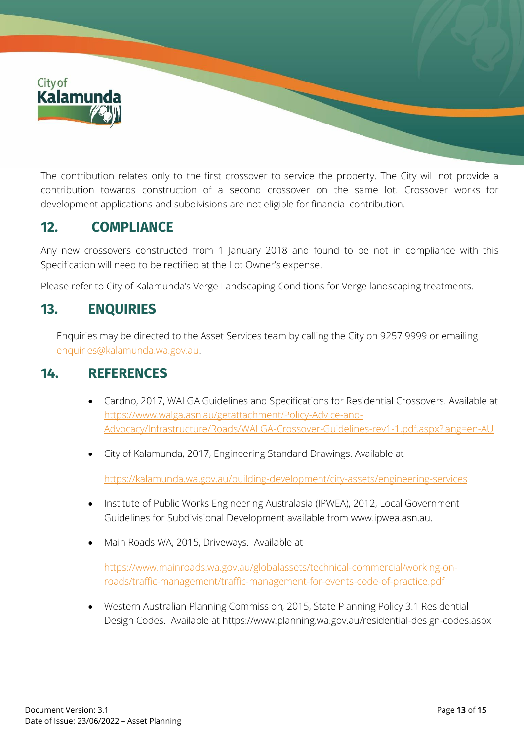

The contribution relates only to the first crossover to service the property. The City will not provide a contribution towards construction of a second crossover on the same lot. Crossover works for development applications and subdivisions are not eligible for financial contribution.

## **12. COMPLIANCE**

Any new crossovers constructed from 1 January 2018 and found to be not in compliance with this Specification will need to be rectified at the Lot Owner's expense.

Please refer to City of Kalamunda's Verge Landscaping Conditions for Verge landscaping treatments.

## **13. ENQUIRIES**

Enquiries may be directed to the Asset Services team by calling the City on 9257 9999 or emailing [enquiries@kalamunda.wa.gov.au.](mailto:enquiries@kalamunda.wa.gov.au)

## **14. REFERENCES**

- Cardno, 2017, WALGA Guidelines and Specifications for Residential Crossovers. Available at [https://www.walga.asn.au/getattachment/Policy-Advice-and-](https://www.walga.asn.au/getattachment/Policy-Advice-and-Advocacy/Infrastructure/Roads/WALGA-Crossover-Guidelines-rev1-1.pdf.aspx?lang=en-AU)[Advocacy/Infrastructure/Roads/WALGA-Crossover-Guidelines-rev1-1.pdf.aspx?lang=en-AU](https://www.walga.asn.au/getattachment/Policy-Advice-and-Advocacy/Infrastructure/Roads/WALGA-Crossover-Guidelines-rev1-1.pdf.aspx?lang=en-AU)
- City of Kalamunda, 2017, Engineering Standard Drawings. Available at

<https://kalamunda.wa.gov.au/building-development/city-assets/engineering-services>

- Institute of Public Works Engineering Australasia (IPWEA), 2012, Local Government Guidelines for Subdivisional Development available from [www.ipwea.asn.au.](http://www.ipwea.asn.au/)
- Main Roads WA, 2015, Driveways. Available at

[https://www.mainroads.wa.gov.au/globalassets/technical-commercial/working-on](https://www.mainroads.wa.gov.au/globalassets/technical-commercial/working-on-roads/traffic-management/traffic-management-for-events-code-of-practice.pdf)[roads/traffic-management/traffic-management-for-events-code-of-practice.pdf](https://www.mainroads.wa.gov.au/globalassets/technical-commercial/working-on-roads/traffic-management/traffic-management-for-events-code-of-practice.pdf)

• Western Australian Planning Commission, 2015, State Planning Policy 3.1 Residential Design Codes. Available at<https://www.planning.wa.gov.au/residential-design-codes.aspx>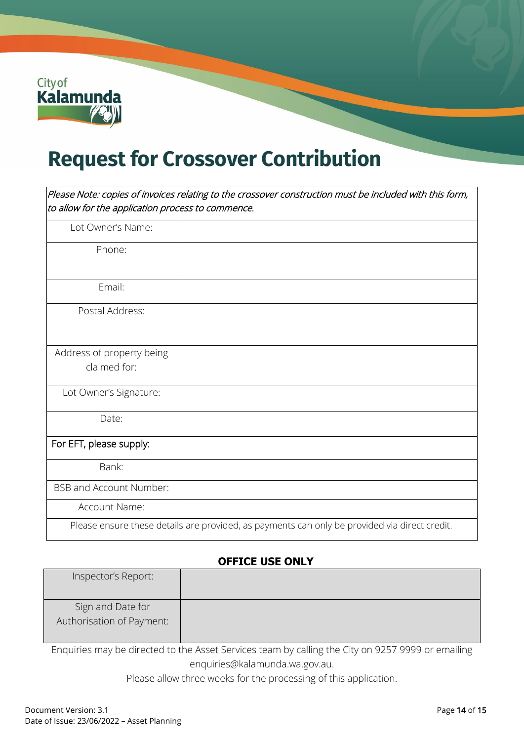

# **Request for Crossover Contribution**

Please Note: copies of invoices relating to the crossover construction must be included with this form, to allow for the application process to commence.

| Lot Owner's Name:              |                                                                                               |
|--------------------------------|-----------------------------------------------------------------------------------------------|
| Phone:                         |                                                                                               |
|                                |                                                                                               |
| Email:                         |                                                                                               |
| Postal Address:                |                                                                                               |
|                                |                                                                                               |
| Address of property being      |                                                                                               |
| claimed for:                   |                                                                                               |
| Lot Owner's Signature:         |                                                                                               |
| Date:                          |                                                                                               |
| For EFT, please supply:        |                                                                                               |
| Bank:                          |                                                                                               |
| <b>BSB and Account Number:</b> |                                                                                               |
| Account Name:                  |                                                                                               |
|                                | Please ensure these details are provided, as payments can only be provided via direct credit. |

#### **OFFICE USE ONLY**

| Inspector's Report:                            |  |
|------------------------------------------------|--|
| Sign and Date for<br>Authorisation of Payment: |  |

Enquiries may be directed to the Asset Services team by calling the City on 9257 9999 or emailing [enquiries@kalamunda.wa.gov.au.](mailto:enquiries@kalamunda.wa.gov.au)

Please allow three weeks for the processing of this application.